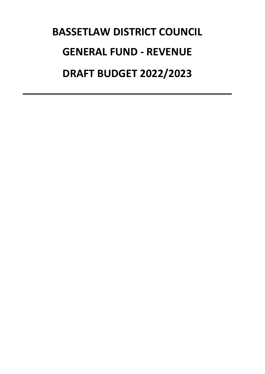# **BASSETLAW DISTRICT COUNCIL DRAFT BUDGET 2022/2023 GENERAL FUND - REVENUE**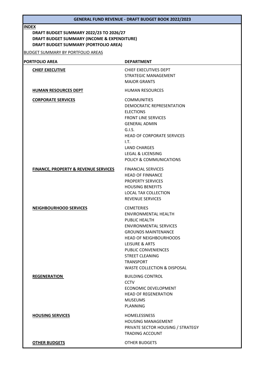#### **INDEX**

# **DRAFT BUDGET SUMMARY (PORTFOLIO AREA) DRAFT BUDGET SUMMARY (INCOME & EXPENDITURE) DRAFT BUDGET SUMMARY 2022/23 TO 2026/27**

BUDGET SUMMARY BY PORTFOLIO AREAS

| <b>PORTFOLIO AREA</b>                           | <b>DEPARTMENT</b>                                                                                                                                                                                                                                                                                                |
|-------------------------------------------------|------------------------------------------------------------------------------------------------------------------------------------------------------------------------------------------------------------------------------------------------------------------------------------------------------------------|
| <b>CHIEF EXECUTIVE</b>                          | CHIEF EXECUTIVES DEPT<br><b>STRATEGIC MANAGEMENT</b><br><b>MAJOR GRANTS</b>                                                                                                                                                                                                                                      |
| <b>HUMAN RESOURCES DEPT</b>                     | <b>HUMAN RESOURCES</b>                                                                                                                                                                                                                                                                                           |
| <b>CORPORATE SERVICES</b>                       | <b>COMMUNITIES</b><br><b>DEMOCRATIC REPRESENTATION</b><br><b>ELECTIONS</b><br><b>FRONT LINE SERVICES</b><br><b>GENERAL ADMIN</b><br>G.I.S.<br><b>HEAD OF CORPORATE SERVICES</b><br>1.7.<br><b>LAND CHARGES</b><br><b>LEGAL &amp; LICENSING</b><br>POLICY & COMMUNICATIONS                                        |
| <b>FINANCE, PROPERTY &amp; REVENUE SERVICES</b> | <b>FINANCIAL SERVICES</b><br><b>HEAD OF FINNANCE</b><br><b>PROPERTY SERVICES</b><br><b>HOUSING BENEFITS</b><br><b>LOCAL TAX COLLECTION</b><br><b>REVENUE SERVICES</b>                                                                                                                                            |
| <b>NEIGHBOURHOOD SERVICES</b>                   | <b>CEMETERIES</b><br><b>ENVIRONMENTAL HEALTH</b><br><b>PUBLIC HEALTH</b><br><b>ENVIRONMENTAL SERVICES</b><br><b>GROUNDS MAINTENANCE</b><br><b>HEAD OF NEIGHBOURHOODS</b><br>LEISURE & ARTS<br><b>PUBLIC CONVENIENCES</b><br><b>STREET CLEANING</b><br><b>TRANSPORT</b><br><b>WASTE COLLECTION &amp; DISPOSAL</b> |
| <b>REGENERATION</b>                             | <b>BUILDING CONTROL</b><br><b>CCTV</b><br><b>ECONOMIC DEVELOPMENT</b><br><b>HEAD OF REGENERATION</b><br><b>MUSEUMS</b><br><b>PLANNING</b>                                                                                                                                                                        |
| <b>HOUSING SERVICES</b>                         | <b>HOMELESSNESS</b><br><b>HOUSING MANAGEMENT</b><br>PRIVATE SECTOR HOUSING / STRATEGY<br><b>TRADING ACCOUNT</b>                                                                                                                                                                                                  |
| <b>OTHER BUDGETS</b>                            | <b>OTHER BUDGETS</b>                                                                                                                                                                                                                                                                                             |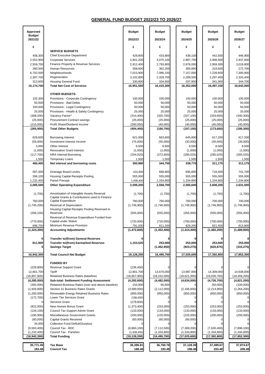| <b>Approved</b>                 |                                                                                                      | <b>Budget</b>            | <b>Budget</b>           | <b>Budget</b>          | <b>Budget</b>           | <b>Budget</b>            |
|---------------------------------|------------------------------------------------------------------------------------------------------|--------------------------|-------------------------|------------------------|-------------------------|--------------------------|
| <b>Budget</b><br>2021/22        |                                                                                                      | 2022/23                  | 2023/24                 | 2024/25                | 2025/26                 | 2026/27                  |
| £                               |                                                                                                      | £                        | £                       | £                      | £                       | £                        |
| 458,300                         | <b>SERVICE BUDGETS</b><br><b>Chief Executive Department</b>                                          | 429,800                  | 433,800                 | 438,100                | 442,500                 | 446,900                  |
| 2,552,900                       | <b>Corporate Services</b>                                                                            | 2,801,200                | 3,075,100               | 2,887,700              | 2,908,500               | 2,937,600                |
| 2,559,700                       | Finance Property & Revenue Services                                                                  | 2,912,400                | 2,793,800               | 2,876,000              | 2,959,300               | 3,018,800                |
| 280,500                         | <b>Human Resources</b>                                                                               | 358,600                  | 362,200                 | 365,800                | 319,500                 | 272,700                  |
| 6,702,000                       | Neighbourhoods                                                                                       | 7,015,900                | 7,086,100               | 7,157,000              | 7,228,600               | 7,300,900                |
| 2,307,700                       | Regeneration                                                                                         | 3,102,800                | 2,329,700               | 2,289,500              | 2,297,400               | 2,320,400                |
| 313,600<br>15,174,700           | <b>Housing General Fund</b><br><b>Total Net Cost of Services</b>                                     | 330,800<br>16,951,500    | 334,600<br>16,415,300   | 337,900<br>16,352,000  | 341,300<br>16,497,100   | 344,700<br>16,642,000    |
|                                 | <b>OTHER BUDGETS</b>                                                                                 |                          |                         |                        |                         |                          |
| 102,300                         | Provisions - Corporate Contingency                                                                   | 100,000                  | 100,000                 | 100,000                | 100,000                 | 100,000                  |
| 50,000                          | Provisions - Bad Debts                                                                               | 50,000                   | 50,000                  | 50,000                 | 50,000                  | 50,000                   |
| 100,000                         | Provisions - Legal Contingency                                                                       | 50,000                   | 50,000                  | 50,000                 | 50,000                  | 50,000                   |
| 25,000                          | Provisions - Health & Safety Contingency                                                             | 25,000                   | 25,000                  | 25,000                 | 25,000                  | 25,000                   |
| (308, 200)                      | Vacancy Factor*                                                                                      | (314, 400)               | (320, 700)              | (327, 100)             | (333,600)               | (340, 300)               |
| (25,000)                        | <b>Procurement Contract savings</b>                                                                  | (25,000)                 | (25,000)                | (25,000)               | (25,000)                | (25,000)                 |
| (210,000)                       | Profit Share/Dividend Income                                                                         | (290,000)                | (40,000)                | (40,000)               | (40,000)                | (40,000)                 |
| (265, 900)                      | <b>Total Other Budgets</b>                                                                           | (404, 400)               | (160, 700)              | (167, 100)             | (173,600)               | (180, 300)               |
| 629,600                         | <b>Borrowing Interest</b>                                                                            | 621,000                  | 663,600                 | 645,800                | 617,200                 | 617,200                  |
| (55,000)                        | Investment Interest Income                                                                           | (75,000)                 | (55,000)                | (30,000)               | (30,000)                | (30,000)                 |
| 3,000                           | Other Interest                                                                                       | 8,500                    | 8,500                   | 8,500                  | 8,500                   | 8,500                    |
| (1,000)                         | <b>Renovation Grant Interest</b>                                                                     | (1,000)<br>(254, 020)    | (1,000)<br>(272, 850)   | (1,000)                | (1,000)<br>(285, 025)   | (1,000)<br>(285, 025)    |
| (117,700)<br>1,500              | <b>HRA Internal Borrowing</b><br><b>Temporary Loans</b>                                              | 1,500                    | 1,500                   | (285, 025)<br>1,500    | 1,500                   | 1,500                    |
| 460,400                         | Net interest and borrowing costs                                                                     | 300,980                  | 344,750                 | 339,775                | 311,175                 | 311,175                  |
| 587,000                         | <b>Drainage Board Levies</b>                                                                         | 635,800                  | 668,900                 | 695,800                | 718,400                 | 741,700                  |
| 266,100                         | <b>Housing Capital Receipts Pooling</b>                                                              | 555,000                  | 555,000                 | 555,000                | 555,000                 | 555,000                  |
| 1,232,400                       | Parish Precept                                                                                       | 1,408,400                | 1,334,800               | 1,334,800              | 1,334,800               | 1,334,800                |
| 2,085,500                       | <b>Other Operating Expenditure</b>                                                                   | 2,599,200                | 2,558,700               | 2,585,600              | 2,608,200               | 2,631,500                |
| (1,700)                         | Amortisation of Intangible Assets Reversal<br>Capital Grants & Contributions used to Finance         | (1,700)                  | (1,700)                 | (1,700)                | (1,700)                 | (1,700)                  |
| 760,000<br>(1,745,200)          | Capital Expenditure<br>Reversal of Depreciation                                                      | 760,000<br>(1,746,900)   | 760,000<br>(1,746,900)  | 760,000<br>(1,746,900) | 700,000<br>(1,746,900)  | 700,000<br>(1,746,900)   |
|                                 | Housing Capital Receipts Pooling Reversed to                                                         |                          |                         |                        |                         |                          |
| (266, 100)                      | Reserves<br>Reversal of Revenue Expenditure Funded from                                              | (555,000)                | (555,000)               | (555,000)              | (555,000)               | (555,000)                |
| (770,000)                       | Capital under Statue                                                                                 | (720,000)                | (720,000)               | (700,000)              | (700,000)               | (700,000)                |
| 698,700                         | Minimum Revenue Provision                                                                            | 791,000                  | 811,200                 | 829,200                | 821,400                 | 813,800                  |
| (1, 324, 300)                   | <b>Accounting Adjustments</b>                                                                        | (1,472,600)              | (1,452,400)             | (1,414,400)            | (1,482,200)             | (1,489,800)              |
|                                 | <b>Transfer to/(from) General Reserves</b>                                                           |                          |                         |                        |                         |                          |
| 811,900                         | <b>Transfer to/(from) Earmarked Reserves</b>                                                         | 1,153,520                | 253,000                 | 253,000                | 253,000                 | 253,000                  |
|                                 | <b>Savings Target</b>                                                                                |                          | (1,462,950)             | (923, 275)             | (620, 875)              | (315, 275)               |
| 16,942,300                      | <b>Total Council Net Budget</b>                                                                      | 19,128,200               | 16,495,700              | 17,025,600             | 17,392,800              | 17,852,300               |
|                                 | <b>FUNDED BY</b>                                                                                     |                          |                         |                        |                         |                          |
| (228, 800)                      | <b>Revenue Support Grant</b>                                                                         | (236, 400)               |                         |                        |                         |                          |
| 12,801,700                      | <b>Tariff</b>                                                                                        | 12,801,700               | 13,670,000              | 13,987,000             | 14,309,000              | 14,638,000               |
| (16, 857, 900)<br>(4, 285, 000) | Retained Business Rates (baseline)                                                                   | (16, 857, 900)           | (18, 152, 000)          | (18,621,000)           | (19,035,700)            | (19, 459, 200)           |
| (392,000)                       | <b>Sub-total: Settlement Funding Assessment</b><br>Retained Business Rates (over and above baseline) | (4, 292, 600)<br>153,900 | (4, 482, 000)<br>66,600 | (4,634,000)            | (4,726,700)             | (4,821,200)<br>(100,000) |
| (1,926,800)                     | Section 31 Business Rates Grants                                                                     | (3,589,000)              | (2, 112, 000)           | (2, 166, 600)          | (50,000)<br>(2,214,900) | (2,264,200)              |
| (1,200,000)                     | Renewable Energy Retained Business Rates                                                             | (850,000)                | (850,000)               | (850,000)              | (850,000)               | (850,000)                |
| (172, 700)                      | Lower Tier Services Grant                                                                            | (186,000)                |                         |                        |                         |                          |
|                                 | Services Grant                                                                                       | (279,600)                |                         |                        |                         |                          |
| (822,000)                       | New Homes Bonus Grant                                                                                | (1,373,400)              | (253,000)               | (253,000)              | (253,000)               | (253,000)                |
| (126, 100)                      | Council Tax Support Admin Grant                                                                      | (133,000)                | (133,000)               | (133,000)              | (133,000)               | (133,000)                |
| (195,900)                       | <b>Miscellaneous Government Grants</b>                                                               | (250,000)                | (225,000)               | (225,000)              | (200,000)               | (200,000)                |
| (60,000)                        | <b>Capital Grants Received</b>                                                                       | (60,000)                 | (60,000)                | (60,000)               |                         |                          |
| 34,000<br>(6, 563, 400)         | <b>Collection Fund Deficit/(Surplus)</b><br>Council Tax - BDC                                        | (6,860,100)              | (7, 112, 500)           | (7,369,200)            | (7,630,400)             | (7,896,100)              |
| (1,232,400)                     | <b>Council Tax - Parishes</b>                                                                        | (1,408,400)              | (1, 334, 800)           | (1, 334, 800)          | (1, 334, 800)           | (1, 334, 800)            |
| (16, 942, 300)                  | <b>Total Funding</b>                                                                                 | (19, 128, 200)           | (16, 495, 700)          | (17, 025, 600)         | (17, 392, 800)          | (17, 852, 300)           |
| 35,771.49                       | <b>Tax Base</b>                                                                                      | 36,396.81                | 36,760.78               | 37,128.39              | 37,499.67               | 37,874.67                |
| 183.48                          | <b>Council Tax</b>                                                                                   | 188.48                   | 193.48                  | 198.48                 | 203.48                  | 208.48                   |

# **GENERAL FUND BUDGET 2022/23 TO 2026/27**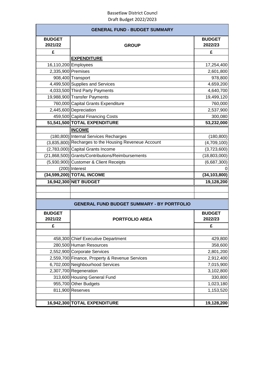|                          | <b>GENERAL FUND - BUDGET SUMMARY</b>                  |                          |
|--------------------------|-------------------------------------------------------|--------------------------|
| <b>BUDGET</b><br>2021/22 | <b>GROUP</b>                                          | <b>BUDGET</b><br>2022/23 |
| £                        |                                                       | £                        |
|                          | <b>EXPENDITURE</b>                                    |                          |
|                          | 16,110,200 Employees                                  | 17,254,400               |
| 2,335,900 Premises       |                                                       | 2,601,800                |
|                          | 908,400 Transport                                     | 978,800                  |
|                          | 4,499,500 Supplies and Services                       | 4,659,200                |
|                          | 4,033,500 Third Party Payments                        | 4,640,700                |
|                          | 19,988,900 Transfer Payments                          | 19,499,120               |
|                          | 760,000 Capital Grants Expenditure                    | 760,000                  |
|                          | 2,445,600 Depreciation                                | 2,537,900                |
|                          | 459,500 Capital Financing Costs                       | 300,080                  |
|                          | 51,541,500 TOTAL EXPENDITURE                          | 53,232,000               |
|                          | <b>INCOME</b>                                         |                          |
|                          | (180,800) Internal Services Recharges                 | (180, 800)               |
|                          | (3,835,800) Recharges to the Housing Reveneue Account | (4,709,100)              |
|                          | (2,783,000) Capital Grants Income                     | (3,723,600)              |
|                          | (21,868,500) Grants/Contributions/Reimbursements      | (18,803,000)             |
|                          | (5,930,900) Customer & Client Receipts                | (6,687,300)              |
|                          | $(200)$ Interest                                      |                          |
|                          | (34,599,200) TOTAL INCOME                             | (34, 103, 800)           |
|                          | 16,942,300 NET BUDGET                                 | 19,128,200               |
|                          |                                                       |                          |
|                          |                                                       |                          |
|                          | <b>GENERAL FUND BUDGET SUMMARY - BY PORTFOLIO</b>     |                          |
| <b>BUDGET</b><br>2021/22 | <b>PORTFOLIO AREA</b>                                 | <b>BUDGET</b><br>2022/23 |
| £                        |                                                       | £                        |
|                          |                                                       |                          |
|                          | 458,300 Chief Executive Department                    | 429,800                  |
|                          | 280,500 Human Resources                               | 358,600                  |
|                          | 2,552,900 Corporate Services                          | 2,801,200                |
|                          | 2,559,700 Finance, Property & Revenue Services        | 2,912,400                |
|                          | 6,702,000 Neighbourhood Services                      | 7,015,900                |
|                          | 2,307,700 Regeneration                                | 3,102,800                |
|                          | 313,600 Housing General Fund                          | 330,800                  |
|                          | 955,700 Other Budgets                                 | 1,023,180                |
|                          | 811,900 Reserves                                      | 1,153,520                |
|                          |                                                       |                          |
|                          | 16,942,300 TOTAL EXPENDITURE                          | 19,128,200               |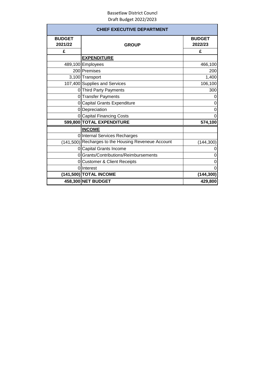|               | <b>CHIEF EXECUTIVE DEPARTMENT</b>                   |               |
|---------------|-----------------------------------------------------|---------------|
| <b>BUDGET</b> |                                                     | <b>BUDGET</b> |
| 2021/22       | <b>GROUP</b>                                        | 2022/23       |
| £             |                                                     | £             |
|               | <b>EXPENDITURE</b>                                  |               |
|               | 489,100 Employees                                   | 466,100       |
|               | 200 Premises                                        | 200           |
|               | 3,100 Transport                                     | 1,400         |
|               | 107,400 Supplies and Services                       | 106,100       |
|               | 0 Third Party Payments                              | 300           |
|               | 0 Transfer Payments                                 | 0             |
| $\Omega$      | <b>Capital Grants Expenditure</b>                   | 0             |
|               | 0 Depreciation                                      | 0             |
|               | 0 Capital Financing Costs                           | $\Omega$      |
|               | 599,800 TOTAL EXPENDITURE                           | 574,100       |
|               | <b>INCOME</b>                                       |               |
|               | 0 Internal Services Recharges                       |               |
|               | (141,500) Recharges to the Housing Reveneue Account | (144, 300)    |
|               | 0 Capital Grants Income                             | 0             |
| $\Omega$      | Grants/Contributions/Reimbursements                 | 0             |
| Οl            | <b>Customer &amp; Client Receipts</b>               | 0             |
|               | 0 Interest                                          | 0             |
|               | (141,500) TOTAL INCOME                              | (144, 300)    |
|               | 458,300 NET BUDGET                                  | 429,800       |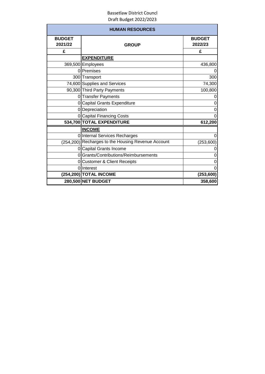|                          | <b>HUMAN RESOURCES</b>                             |                          |
|--------------------------|----------------------------------------------------|--------------------------|
| <b>BUDGET</b><br>2021/22 | <b>GROUP</b>                                       | <b>BUDGET</b><br>2022/23 |
| £                        |                                                    | £                        |
|                          | <b>EXPENDITURE</b>                                 |                          |
|                          | 369,500 Employees                                  | 436,800                  |
|                          | 0 Premises                                         | 0                        |
|                          | 300 Transport                                      | 300                      |
|                          | 74,600 Supplies and Services                       | 74,300                   |
|                          | 90,300 Third Party Payments                        | 100,800                  |
|                          | 0 Transfer Payments                                | 0                        |
|                          | 0 Capital Grants Expenditure                       | 0                        |
|                          | 0 Depreciation                                     | 0                        |
|                          | 0 Capital Financing Costs                          | $\Omega$                 |
|                          | 534,700 TOTAL EXPENDITURE                          | 612,200                  |
|                          | <b>INCOME</b>                                      |                          |
|                          | 0 Internal Services Recharges                      | 0                        |
|                          | (254,200) Recharges to the Housing Revenue Account | (253, 600)               |
|                          | 0 Capital Grants Income                            | 0                        |
|                          | 0 Grants/Contributions/Reimbursements              | 0                        |
|                          | 0 Customer & Client Receipts                       | 0                        |
|                          | <b>Olinterest</b>                                  | 0                        |
|                          | (254,200) TOTAL INCOME                             | (253, 600)               |
|                          | 280,500 NET BUDGET                                 | 358,600                  |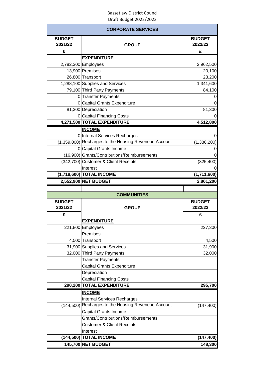|                          | <b>CORPORATE SERVICES</b>                             |                          |
|--------------------------|-------------------------------------------------------|--------------------------|
| <b>BUDGET</b><br>2021/22 | <b>GROUP</b>                                          | <b>BUDGET</b><br>2022/23 |
| £                        |                                                       | £                        |
|                          | <b>EXPENDITURE</b>                                    |                          |
|                          | 2,782,300 Employees                                   | 2,962,500                |
|                          | 13,900 Premises                                       | 20,100                   |
|                          | 26,800 Transport                                      | 23,200                   |
|                          | 1,288,100 Supplies and Services                       | 1,341,600                |
|                          | 79,100 Third Party Payments                           | 84,100                   |
|                          | 0 Transfer Payments                                   |                          |
|                          | 0 Capital Grants Expenditure                          |                          |
|                          | 81,300 Depreciation                                   | 81,300                   |
|                          | 0 Capital Financing Costs                             |                          |
|                          | 4,271,500 TOTAL EXPENDITURE                           | 4,512,800                |
|                          | <b>INCOME</b>                                         |                          |
|                          | 0 Internal Services Recharges                         | 0                        |
|                          | (1,359,000) Recharges to the Housing Reveneue Account | (1,386,200)              |
|                          | 0 Capital Grants Income                               | 0                        |
|                          | (16,900) Grants/Contributions/Reimbursements          | 0                        |
|                          | (342,700) Customer & Client Receipts                  | (325, 400)               |
|                          | Interest                                              |                          |
|                          | (1,718,600) TOTAL INCOME                              | (1,711,600)              |
|                          | 2,552,900 NET BUDGET                                  | 2,801,200                |
|                          |                                                       |                          |
|                          | <b>COMMUNITIES</b>                                    |                          |
| <b>BUDGET</b>            |                                                       | <b>BUDGET</b>            |
| 2021/22                  | <b>GROUP</b>                                          | 2022/23                  |
| £                        |                                                       | £                        |
|                          | <b>EXPENDITURE</b>                                    |                          |
|                          | 221,800 Employees                                     | 227,300                  |
|                          | Premises                                              |                          |
|                          | 4,500 Transport                                       | 4,500                    |
|                          | 31,900 Supplies and Services                          | 31,900                   |
|                          | 32,000 Third Party Payments                           | 32,000                   |
|                          | <b>Transfer Payments</b>                              |                          |
|                          | <b>Capital Grants Expenditure</b>                     |                          |
|                          | Depreciation                                          |                          |
|                          | <b>Capital Financing Costs</b>                        |                          |
|                          | 290,200 TOTAL EXPENDITURE                             | 295,700                  |
|                          | <b>INCOME</b>                                         |                          |
|                          | <b>Internal Services Recharges</b>                    |                          |
| (144, 500)               | Recharges to the Housing Reveneue Account             | (147, 400)               |
|                          | Capital Grants Income                                 |                          |
|                          | Grants/Contributions/Reimbursements                   |                          |
|                          | <b>Customer &amp; Client Receipts</b>                 |                          |
|                          | Interest                                              |                          |
|                          | (144,500) TOTAL INCOME                                | (147, 400)               |
|                          |                                                       |                          |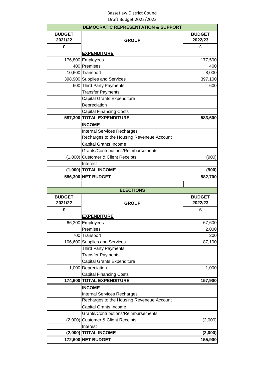|                          | <b>DEMOCRATIC REPRESENTATION &amp; SUPPORT</b> |                                                                                       |
|--------------------------|------------------------------------------------|---------------------------------------------------------------------------------------|
| <b>BUDGET</b><br>2021/22 | <b>GROUP</b>                                   | <b>BUDGET</b><br>2022/23                                                              |
| £                        |                                                | £                                                                                     |
|                          | <b>EXPENDITURE</b>                             |                                                                                       |
|                          | 176,800 Employees                              | 177,500                                                                               |
|                          | 400 Premises                                   | 400                                                                                   |
|                          | 10,600 Transport                               | 8,000                                                                                 |
|                          | 398,900 Supplies and Services                  | 397,100                                                                               |
|                          | 600 Third Party Payments                       | 600                                                                                   |
|                          | <b>Transfer Payments</b>                       |                                                                                       |
|                          | <b>Capital Grants Expenditure</b>              |                                                                                       |
|                          | Depreciation                                   |                                                                                       |
|                          | <b>Capital Financing Costs</b>                 |                                                                                       |
|                          | 587,300 TOTAL EXPENDITURE                      | 583,600                                                                               |
|                          | <b>INCOME</b>                                  |                                                                                       |
|                          | <b>Internal Services Recharges</b>             |                                                                                       |
|                          | Recharges to the Housing Reveneue Account      |                                                                                       |
|                          | Capital Grants Income                          |                                                                                       |
|                          | Grants/Contributions/Reimbursements            |                                                                                       |
|                          | (1,000) Customer & Client Receipts             | (900)                                                                                 |
|                          | Interest                                       |                                                                                       |
|                          | (1,000) TOTAL INCOME                           | (900)                                                                                 |
|                          | 586,300 NET BUDGET                             | 582,700                                                                               |
|                          |                                                |                                                                                       |
|                          | <b>ELECTIONS</b>                               |                                                                                       |
| <b>BUDGET</b>            |                                                | <b>BUDGET</b>                                                                         |
| 2021/22                  | <b>GROUP</b>                                   | 2022/23                                                                               |
| £                        |                                                | £                                                                                     |
|                          | <b>EXPENDITURE</b>                             |                                                                                       |
|                          | 66,300 Employees                               |                                                                                       |
|                          |                                                |                                                                                       |
|                          |                                                |                                                                                       |
|                          | Premises                                       |                                                                                       |
|                          | 700 Transport                                  |                                                                                       |
|                          | 106,600 Supplies and Services                  |                                                                                       |
|                          | <b>Third Party Payments</b>                    |                                                                                       |
|                          | <b>Transfer Payments</b>                       |                                                                                       |
|                          | <b>Capital Grants Expenditure</b>              |                                                                                       |
|                          | 1,000 Depreciation                             |                                                                                       |
|                          | <b>Capital Financing Costs</b>                 |                                                                                       |
|                          | 174,600 TOTAL EXPENDITURE                      |                                                                                       |
|                          | <b>INCOME</b>                                  |                                                                                       |
|                          | <b>Internal Services Recharges</b>             |                                                                                       |
|                          | Recharges to the Housing Reveneue Account      |                                                                                       |
|                          | <b>Capital Grants Income</b>                   |                                                                                       |
|                          | Grants/Contributions/Reimbursements            |                                                                                       |
|                          | (2,000) Customer & Client Receipts             |                                                                                       |
|                          | Interest                                       |                                                                                       |
|                          | (2,000) TOTAL INCOME<br>172,600 NET BUDGET     | 67,600<br>2,000<br>200<br>87,100<br>1,000<br>157,900<br>(2,000)<br>(2,000)<br>155,900 |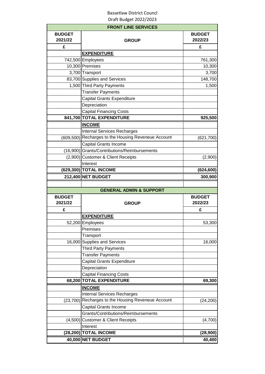|                          | <b>FRONT LINE SERVICES</b>                          |                          |
|--------------------------|-----------------------------------------------------|--------------------------|
| <b>BUDGET</b><br>2021/22 | <b>GROUP</b>                                        | <b>BUDGET</b><br>2022/23 |
| £                        |                                                     | £                        |
|                          | <b>EXPENDITURE</b>                                  |                          |
|                          | 742,500 Employees                                   | 761,300                  |
|                          | 10,300 Premises                                     | 10,300                   |
|                          | 3,700 Transport                                     | 3,700                    |
|                          | 83,700 Supplies and Services                        | 148,700                  |
|                          | 1,500 Third Party Payments                          | 1,500                    |
|                          | <b>Transfer Payments</b>                            |                          |
|                          | <b>Capital Grants Expenditure</b>                   |                          |
|                          | Depreciation                                        |                          |
|                          | <b>Capital Financing Costs</b>                      |                          |
|                          | 841,700 TOTAL EXPENDITURE                           | 925,500                  |
|                          | <b>INCOME</b>                                       |                          |
|                          | <b>Internal Services Recharges</b>                  |                          |
|                          | (609,500) Recharges to the Housing Reveneue Account | (621, 700)               |
|                          | <b>Capital Grants Income</b>                        |                          |
|                          | (16,900) Grants/Contributions/Reimbursements        |                          |
|                          | (2,900) Customer & Client Receipts                  | (2,900)                  |
|                          | Interest                                            |                          |
|                          | (629,300) TOTAL INCOME                              | (624, 600)               |
|                          | 212,400 NET BUDGET                                  | 300,900                  |
|                          |                                                     |                          |
|                          | <b>GENERAL ADMIN &amp; SUPPORT</b>                  |                          |
| <b>BUDGET</b>            |                                                     | <b>BUDGET</b>            |
| 2021/22                  | <b>GROUP</b>                                        | 2022/23                  |
| £                        |                                                     | £                        |
|                          | <b>EXPENDITURE</b>                                  |                          |
|                          |                                                     |                          |
|                          |                                                     |                          |
|                          | 52,200 Employees                                    | 53,300                   |
|                          | Premises                                            |                          |
|                          | Transport                                           |                          |
|                          | 16,000 Supplies and Services                        | 16,000                   |
|                          | Third Party Payments                                |                          |
|                          | <b>Transfer Payments</b>                            |                          |
|                          | Capital Grants Expenditure                          |                          |
|                          | Depreciation                                        |                          |
|                          | <b>Capital Financing Costs</b>                      |                          |
|                          | 68,200 TOTAL EXPENDITURE                            | 69,300                   |
|                          | <b>INCOME</b>                                       |                          |
|                          | <b>Internal Services Recharges</b>                  |                          |
|                          | (23,700) Recharges to the Housing Reveneue Account  | (24, 200)                |
|                          | Capital Grants Income                               |                          |
|                          | Grants/Contributions/Reimbursements                 |                          |
|                          | (4,500) Customer & Client Receipts                  | (4,700)                  |
|                          | Interest                                            |                          |
|                          | (28,200) TOTAL INCOME<br>40,000 NET BUDGET          | (28, 900)<br>40,400      |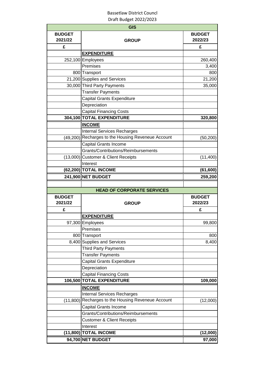|                          | <b>GIS</b>                                         |                          |
|--------------------------|----------------------------------------------------|--------------------------|
| <b>BUDGET</b><br>2021/22 | <b>GROUP</b>                                       | <b>BUDGET</b><br>2022/23 |
| £                        |                                                    | £                        |
|                          | <b>EXPENDITURE</b>                                 |                          |
|                          | 252,100 Employees                                  | 260,400                  |
|                          | Premises                                           | 3,400                    |
|                          | 800 Transport                                      | 800                      |
|                          | 21,200 Supplies and Services                       | 21,200                   |
|                          | 30,000 Third Party Payments                        | 35,000                   |
|                          | <b>Transfer Payments</b>                           |                          |
|                          | Capital Grants Expenditure                         |                          |
|                          | Depreciation                                       |                          |
|                          | <b>Capital Financing Costs</b>                     |                          |
|                          | 304,100 TOTAL EXPENDITURE                          | 320,800                  |
|                          | <b>INCOME</b>                                      |                          |
|                          | <b>Internal Services Recharges</b>                 |                          |
|                          | (49,200) Recharges to the Housing Reveneue Account | (50, 200)                |
|                          | Capital Grants Income                              |                          |
|                          | Grants/Contributions/Reimbursements                |                          |
|                          | (13,000) Customer & Client Receipts                | (11, 400)                |
|                          | Interest                                           |                          |
|                          | (62,200) TOTAL INCOME                              | (61, 600)                |
|                          | 241,900 NET BUDGET                                 | 259,200                  |
|                          |                                                    |                          |
|                          | <b>HEAD OF CORPORATE SERVICES</b>                  |                          |
| <b>BUDGET</b><br>2021/22 | <b>GROUP</b>                                       | <b>BUDGET</b><br>2022/23 |
| £                        |                                                    | £                        |
|                          | <b>EXPENDITURE</b>                                 |                          |
|                          | 97,300 Employees                                   | 99,800                   |
|                          | Premises                                           |                          |
|                          | 800 Transport                                      | 800                      |
|                          | 8,400 Supplies and Services                        | 8,400                    |
|                          | <b>Third Party Payments</b>                        |                          |
|                          | <b>Transfer Payments</b>                           |                          |
|                          | Capital Grants Expenditure                         |                          |
|                          | Depreciation                                       |                          |
|                          | <b>Capital Financing Costs</b>                     |                          |
|                          | 106,500 TOTAL EXPENDITURE                          | 109,000                  |
|                          | <b>INCOME</b>                                      |                          |
|                          | <b>Internal Services Recharges</b>                 |                          |
| (11,800)                 | Recharges to the Housing Reveneue Account          | (12,000)                 |
|                          | Capital Grants Income                              |                          |
|                          | Grants/Contributions/Reimbursements                |                          |
|                          | <b>Customer &amp; Client Receipts</b>              |                          |
|                          | Interest                                           |                          |
|                          | (11,800) TOTAL INCOME                              | (12,000)                 |
|                          | 94,700 NET BUDGET                                  | 97,000                   |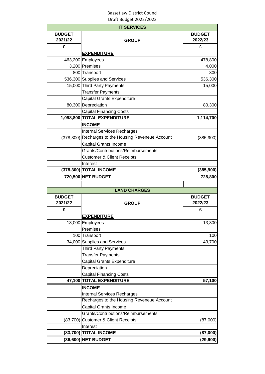|                          | <b>IT SERVICES</b>                                  |                          |
|--------------------------|-----------------------------------------------------|--------------------------|
| <b>BUDGET</b><br>2021/22 | <b>GROUP</b>                                        | <b>BUDGET</b><br>2022/23 |
| £                        |                                                     | £                        |
|                          | <b>EXPENDITURE</b>                                  |                          |
|                          | 463,200 Employees                                   | 478,800                  |
|                          | 3,200 Premises                                      | 4,000                    |
|                          | 800 Transport                                       | 300                      |
|                          | 536,300 Supplies and Services                       | 536,300                  |
|                          | 15,000 Third Party Payments                         | 15,000                   |
|                          | <b>Transfer Payments</b>                            |                          |
|                          | Capital Grants Expenditure                          |                          |
|                          | 80,300 Depreciation                                 | 80,300                   |
|                          | <b>Capital Financing Costs</b>                      |                          |
|                          | 1,098,800 TOTAL EXPENDITURE                         | 1,114,700                |
|                          | <b>INCOME</b>                                       |                          |
|                          | <b>Internal Services Recharges</b>                  |                          |
|                          | (378,300) Recharges to the Housing Reveneue Account | (385,900)                |
|                          | Capital Grants Income                               |                          |
|                          | Grants/Contributions/Reimbursements                 |                          |
|                          | <b>Customer &amp; Client Receipts</b>               |                          |
|                          | Interest                                            |                          |
|                          | (378,300) TOTAL INCOME                              | (385, 900)               |
|                          | 720,500 NET BUDGET                                  | 728,800                  |
|                          |                                                     |                          |
|                          | <b>LAND CHARGES</b>                                 |                          |
| <b>BUDGET</b><br>2021/22 | <b>GROUP</b>                                        | <b>BUDGET</b><br>2022/23 |
| £                        |                                                     | £                        |
|                          | <b>EXPENDITURE</b>                                  |                          |
|                          | 13,000 Employees                                    | 13,300                   |
|                          | Premises                                            |                          |
|                          | 100 Transport                                       | 100                      |
|                          | 34,000 Supplies and Services                        | 43,700                   |
|                          | <b>Third Party Payments</b>                         |                          |
|                          | <b>Transfer Payments</b>                            |                          |
|                          | <b>Capital Grants Expenditure</b>                   |                          |
|                          | Depreciation                                        |                          |
|                          | <b>Capital Financing Costs</b>                      |                          |
|                          | 47,100 TOTAL EXPENDITURE                            | 57,100                   |
|                          | <b>INCOME</b>                                       |                          |
|                          | <b>Internal Services Recharges</b>                  |                          |
|                          | Recharges to the Housing Reveneue Account           |                          |
|                          | Capital Grants Income                               |                          |
|                          | Grants/Contributions/Reimbursements                 |                          |
|                          | (83,700) Customer & Client Receipts                 | (87,000)                 |
|                          | Interest                                            |                          |
|                          |                                                     |                          |
|                          | (83,700) TOTAL INCOME<br>(36,600) NET BUDGET        | (87,000)<br>(29, 900)    |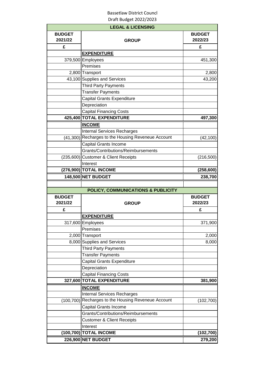|                          | <b>LEGAL &amp; LICENSING</b>                        |                                  |
|--------------------------|-----------------------------------------------------|----------------------------------|
| <b>BUDGET</b><br>2021/22 | <b>GROUP</b>                                        | <b>BUDGET</b><br>2022/23         |
| £                        |                                                     | £                                |
|                          | <b>EXPENDITURE</b>                                  |                                  |
|                          | 379,500 Employees                                   | 451,300                          |
|                          | Premises                                            |                                  |
|                          | 2,800 Transport                                     | 2,800                            |
|                          | 43,100 Supplies and Services                        | 43,200                           |
|                          | Third Party Payments                                |                                  |
|                          | <b>Transfer Payments</b>                            |                                  |
|                          | Capital Grants Expenditure                          |                                  |
|                          | Depreciation                                        |                                  |
|                          | <b>Capital Financing Costs</b>                      |                                  |
|                          | 425,400 TOTAL EXPENDITURE                           | 497,300                          |
|                          | <b>INCOME</b>                                       |                                  |
|                          | <b>Internal Services Recharges</b>                  |                                  |
|                          | (41,300) Recharges to the Housing Reveneue Account  | (42,100)                         |
|                          | <b>Capital Grants Income</b>                        |                                  |
|                          | Grants/Contributions/Reimbursements                 |                                  |
|                          | (235,600) Customer & Client Receipts                | (216, 500)                       |
|                          | Interest                                            |                                  |
|                          | (276,900) TOTAL INCOME                              | (258, 600)                       |
|                          | 148,500 NET BUDGET                                  | 238,700                          |
|                          |                                                     |                                  |
|                          | <b>POLICY, COMMUNICATIONS &amp; PUBLICITY</b>       |                                  |
|                          |                                                     |                                  |
|                          |                                                     |                                  |
| <b>BUDGET</b>            |                                                     | <b>BUDGET</b><br>2022/23         |
| 2021/22                  | <b>GROUP</b>                                        |                                  |
| £                        |                                                     | £                                |
|                          | <b>EXPENDITURE</b>                                  |                                  |
|                          | 317,600 Employees                                   |                                  |
|                          | Premises                                            |                                  |
|                          | 2,000 Transport                                     | 2,000                            |
|                          | 8,000 Supplies and Services                         | 8,000                            |
|                          | <b>Third Party Payments</b>                         |                                  |
|                          | <b>Transfer Payments</b>                            |                                  |
|                          | Capital Grants Expenditure                          |                                  |
|                          | Depreciation                                        |                                  |
|                          | <b>Capital Financing Costs</b>                      |                                  |
|                          | 327,600 TOTAL EXPENDITURE                           | 381,900                          |
|                          | <b>INCOME</b>                                       |                                  |
|                          | <b>Internal Services Recharges</b>                  |                                  |
|                          | (100,700) Recharges to the Housing Reveneue Account | (102, 700)                       |
|                          | Capital Grants Income                               |                                  |
|                          | Grants/Contributions/Reimbursements                 |                                  |
|                          | <b>Customer &amp; Client Receipts</b>               |                                  |
|                          | Interest                                            |                                  |
|                          | (100,700) TOTAL INCOME<br><b>226,900 NET BUDGET</b> | 371,900<br>(102, 700)<br>279,200 |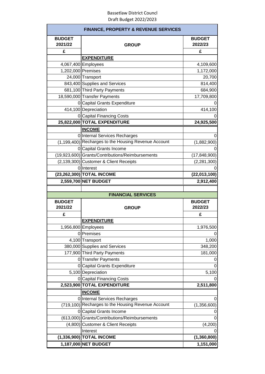| <b>FINANCE, PROPERTY &amp; REVENUE SERVICES</b> |                                                      |                          |  |  |
|-------------------------------------------------|------------------------------------------------------|--------------------------|--|--|
| <b>BUDGET</b><br>2021/22                        | <b>GROUP</b>                                         | <b>BUDGET</b><br>2022/23 |  |  |
| £                                               |                                                      | £                        |  |  |
|                                                 | <b>EXPENDITURE</b>                                   |                          |  |  |
|                                                 | 4,067,400 Employees                                  | 4,109,600                |  |  |
| 1,202,000 Premises                              |                                                      | 1,172,000                |  |  |
|                                                 | 24,000 Transport                                     | 20,700                   |  |  |
|                                                 | 843,400 Supplies and Services                        | 814,400                  |  |  |
|                                                 | 681,100 Third Party Payments                         | 684,900                  |  |  |
|                                                 | 18,590,000 Transfer Payments                         | 17,709,800               |  |  |
|                                                 | 0 Capital Grants Expenditure                         |                          |  |  |
|                                                 | 414,100 Depreciation                                 | 414,100                  |  |  |
|                                                 | 0 Capital Financing Costs                            |                          |  |  |
|                                                 | 25,822,000 TOTAL EXPENDITURE                         | 24,925,500               |  |  |
|                                                 | <b>INCOME</b>                                        |                          |  |  |
|                                                 | 0 Internal Services Recharges                        |                          |  |  |
|                                                 | (1,199,400) Recharges to the Housing Revenue Account | (1,882,900)              |  |  |
|                                                 | 0 Capital Grants Income                              |                          |  |  |
|                                                 | (19,923,600) Grants/Contributions/Reimbursements     | (17, 848, 900)           |  |  |
|                                                 | (2,139,300) Customer & Client Receipts               | (2, 281, 300)            |  |  |
|                                                 | 0 Interest                                           |                          |  |  |
|                                                 | (23,262,300) TOTAL INCOME                            | (22,013,100)             |  |  |
|                                                 | 2,559,700 NET BUDGET                                 | 2,912,400                |  |  |
|                                                 |                                                      |                          |  |  |
|                                                 | <b>FINANCIAL SERVICES</b>                            |                          |  |  |
| <b>BUDGET</b><br>2021/22                        | <b>GROUP</b>                                         | <b>BUDGET</b><br>2022/23 |  |  |
| £                                               |                                                      | £                        |  |  |
|                                                 | <b>EXPENDITURE</b>                                   |                          |  |  |
|                                                 | 1,956,800 Employees                                  | 1,976,500                |  |  |
|                                                 | 0 Premises                                           |                          |  |  |
|                                                 |                                                      |                          |  |  |
|                                                 |                                                      |                          |  |  |
|                                                 | 4,100 Transport                                      | 1,000                    |  |  |
|                                                 | 380,000 Supplies and Services                        | 348,200                  |  |  |
|                                                 | 177,900 Third Party Payments                         | 181,000                  |  |  |
|                                                 | 0 Transfer Payments                                  | 0                        |  |  |
|                                                 | 0 Capital Grants Expenditure                         | 0                        |  |  |
|                                                 | 5,100 Depreciation                                   | 5,100                    |  |  |
|                                                 | 0 Capital Financing Costs                            |                          |  |  |
|                                                 | 2,523,900 TOTAL EXPENDITURE                          | 2,511,800                |  |  |
|                                                 | <b>INCOME</b>                                        |                          |  |  |
|                                                 | 0 Internal Services Recharges                        | 0                        |  |  |
| (719, 100)                                      | Recharges to the Housing Revenue Account             | (1,356,600)              |  |  |
|                                                 | 0 Capital Grants Income                              | 0                        |  |  |
|                                                 | (613,000) Grants/Contributions/Reimbursements        | 0                        |  |  |
| (4,800)                                         | <b>Customer &amp; Client Receipts</b>                | (4,200)                  |  |  |
|                                                 | Interest                                             |                          |  |  |
|                                                 | (1,336,900) TOTAL INCOME<br>1,187,000 NET BUDGET     | (1,360,800)<br>1,151,000 |  |  |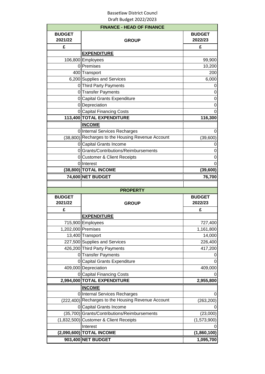|                          | <b>FINANCE - HEAD OF FINANCE</b>                   |                                     |
|--------------------------|----------------------------------------------------|-------------------------------------|
| <b>BUDGET</b><br>2021/22 | <b>GROUP</b>                                       | <b>BUDGET</b><br>2022/23            |
| £                        |                                                    | £                                   |
|                          | <b>EXPENDITURE</b>                                 |                                     |
|                          | 106,800 Employees                                  | 99,900                              |
|                          | 0 Premises                                         | 10,200                              |
|                          | 400 Transport                                      | 200                                 |
|                          | 6,200 Supplies and Services                        | 6,000                               |
|                          | 0 Third Party Payments                             | 0                                   |
|                          | 0 Transfer Payments                                | 0                                   |
|                          | 0 Capital Grants Expenditure                       | $\mathbf 0$                         |
|                          | 0 Depreciation                                     | 0                                   |
|                          | 0 Capital Financing Costs                          | $\overline{0}$                      |
|                          | 113,400 TOTAL EXPENDITURE                          | 116,300                             |
|                          | <b>INCOME</b>                                      |                                     |
|                          | 0 Internal Services Recharges                      | 0                                   |
|                          | (38,800) Recharges to the Housing Revenue Account  | (39,600)                            |
|                          | 0 Capital Grants Income                            | O                                   |
|                          | 0 Grants/Contributions/Reimbursements              | 0                                   |
|                          | 0 Customer & Client Receipts                       | 0                                   |
|                          | 0 Interest                                         | 0                                   |
|                          | (38,800) TOTAL INCOME                              | (39, 600)                           |
|                          | 74,600 NET BUDGET                                  | 76,700                              |
|                          |                                                    |                                     |
|                          | <b>PROPERTY</b>                                    |                                     |
| <b>BUDGET</b><br>2021/22 | <b>GROUP</b>                                       | <b>BUDGET</b>                       |
|                          |                                                    | 2022/23                             |
| £                        |                                                    | £                                   |
|                          | <b>EXPENDITURE</b>                                 |                                     |
|                          | 715,900 Employees                                  |                                     |
|                          | 1,202,000 Premises                                 | 1,161,800                           |
|                          | 13,400 Transport                                   | 14,000                              |
|                          | 227,500 Supplies and Services                      | 226,400                             |
|                          | 426,200 Third Party Payments                       | 417,200                             |
|                          | 0 Transfer Payments                                |                                     |
|                          | 0 Capital Grants Expenditure                       |                                     |
|                          | 409,000 Depreciation                               | 409,000                             |
|                          | 0 Capital Financing Costs                          |                                     |
|                          | 2,994,000 TOTAL EXPENDITURE                        | 2,955,800                           |
|                          | <b>INCOME</b>                                      |                                     |
|                          | 0 Internal Services Recharges                      | $\theta$                            |
|                          | (222,400) Recharges to the Housing Revenue Account | (263, 200)                          |
|                          | 0 Capital Grants Income                            |                                     |
|                          | (35,700) Grants/Contributions/Reimbursements       | (23,000)                            |
|                          | (1,832,500) Customer & Client Receipts             | (1,573,900)                         |
|                          | Interest                                           |                                     |
|                          | (2,090,600) TOTAL INCOME<br>903,400 NET BUDGET     | 727,400<br>(1,860,100)<br>1,095,700 |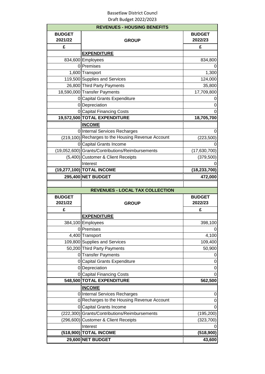|                          | <b>REVENUES - HOUSING BENEFITS</b>                 |                          |
|--------------------------|----------------------------------------------------|--------------------------|
| <b>BUDGET</b><br>2021/22 | <b>GROUP</b>                                       | <b>BUDGET</b><br>2022/23 |
| £                        |                                                    | £                        |
|                          | <b>EXPENDITURE</b>                                 |                          |
|                          | 834,600 Employees                                  | 834,800                  |
|                          | 0 Premises                                         |                          |
|                          | 1,600 Transport                                    | 1,300                    |
|                          | 119,500 Supplies and Services                      | 124,000                  |
|                          | 26,800 Third Party Payments                        | 35,800                   |
|                          | 18,590,000 Transfer Payments                       | 17,709,800               |
|                          | 0 Capital Grants Expenditure                       |                          |
|                          | 0 Depreciation                                     | 0                        |
|                          | 0 Capital Financing Costs                          | 0                        |
|                          | 19,572,500 TOTAL EXPENDITURE                       | 18,705,700               |
|                          | <b>INCOME</b>                                      |                          |
|                          | 0 Internal Services Recharges                      |                          |
|                          | (219,100) Recharges to the Housing Revenue Account | (223, 500)               |
|                          | 0 Capital Grants Income                            |                          |
|                          | (19,052,600) Grants/Contributions/Reimbursements   | (17, 630, 700)           |
|                          | (5,400) Customer & Client Receipts                 | (379, 500)               |
|                          | Interest                                           |                          |
|                          | (19,277,100) TOTAL INCOME                          | (18, 233, 700)           |
|                          | 295,400 NET BUDGET                                 | 472,000                  |
|                          |                                                    |                          |
|                          |                                                    |                          |
|                          | <b>REVENUES - LOCAL TAX COLLECTION</b>             |                          |
| <b>BUDGET</b><br>2021/22 | <b>GROUP</b>                                       | <b>BUDGET</b><br>2022/23 |
| £                        |                                                    | £                        |
|                          | <b>EXPENDITURE</b>                                 |                          |
|                          | 384,100 Employees                                  |                          |
|                          | 0 Premises                                         |                          |
|                          | 4,400 Transport                                    | 398,100<br>4,100         |
|                          | 109,800 Supplies and Services                      | 109,400                  |
|                          | 50,200 Third Party Payments                        | 50,900                   |
|                          | 0 Transfer Payments                                | 0                        |
|                          | 0 Capital Grants Expenditure                       | 0                        |
|                          | 0 Depreciation                                     | 0                        |
|                          | 0 Capital Financing Costs                          | 0                        |
|                          | 548,500 TOTAL EXPENDITURE                          | 562,500                  |
|                          | <b>INCOME</b>                                      |                          |
|                          | 0 Internal Services Recharges                      | 0                        |
|                          | 0 Recharges to the Housing Revenue Account         | 0                        |
|                          | 0 Capital Grants Income                            |                          |
|                          | (222,300) Grants/Contributions/Reimbursements      | (195, 200)               |
|                          | (296,600) Customer & Client Receipts               | (323, 700)               |
|                          | Interest                                           |                          |
|                          | (518,900) TOTAL INCOME<br>29,600 NET BUDGET        | (518,900)<br>43,600      |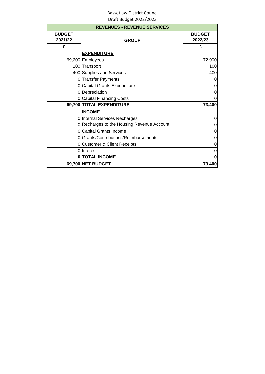|                          | <b>REVENUES - REVENUE SERVICES</b>         |                          |
|--------------------------|--------------------------------------------|--------------------------|
| <b>BUDGET</b><br>2021/22 | <b>GROUP</b>                               | <b>BUDGET</b><br>2022/23 |
| £                        |                                            | £                        |
|                          | <b>EXPENDITURE</b>                         |                          |
|                          | 69,200 Employees                           | 72,900                   |
|                          | 100 Transport                              | 100                      |
|                          | 400 Supplies and Services                  | 400                      |
|                          | 0 Transfer Payments                        | 0                        |
| 0                        | <b>Capital Grants Expenditure</b>          | 0                        |
|                          | 0 Depreciation                             | 0                        |
|                          | 0 Capital Financing Costs                  | 0                        |
|                          | 69,700 TOTAL EXPENDITURE                   | 73,400                   |
|                          | <b>INCOME</b>                              |                          |
|                          | 0 Internal Services Recharges              | 0                        |
|                          | 0 Recharges to the Housing Revenue Account | 0                        |
|                          | 0 Capital Grants Income                    | 0                        |
|                          | 0 Grants/Contributions/Reimbursements      | 0                        |
|                          | 0 Customer & Client Receipts               | 0                        |
|                          | 0 Interest                                 | 0                        |
|                          | 0 TOTAL INCOME                             | 0                        |
|                          | 69,700 NET BUDGET                          | 73,400                   |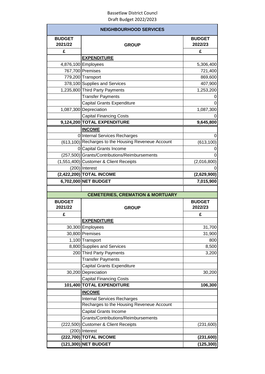|                          | <b>NEIGHBOURHOOD SERVICES</b>                       |                          |
|--------------------------|-----------------------------------------------------|--------------------------|
| <b>BUDGET</b><br>2021/22 | <b>GROUP</b>                                        | <b>BUDGET</b><br>2022/23 |
| £                        |                                                     | £                        |
|                          | <b>EXPENDITURE</b>                                  |                          |
|                          | 4,876,100 Employees                                 | 5,306,400                |
|                          | 767,700 Premises                                    | 721,400                  |
|                          | 779,200 Transport                                   | 869,600                  |
|                          | 378,100 Supplies and Services                       | 407,900                  |
|                          | 1,235,800 Third Party Payments                      | 1,253,200                |
|                          | <b>Transfer Payments</b>                            |                          |
|                          | <b>Capital Grants Expenditure</b>                   |                          |
|                          | 1,087,300 Depreciation                              | 1,087,300                |
|                          | <b>Capital Financing Costs</b>                      |                          |
|                          | 9,124,200 TOTAL EXPENDITURE                         | 9,645,800                |
|                          | <b>INCOME</b>                                       |                          |
|                          | 0 Internal Services Recharges                       | 0                        |
|                          | (613,100) Recharges to the Housing Reveneue Account | (613, 100)               |
|                          | 0 Capital Grants Income                             |                          |
|                          | (257,500) Grants/Contributions/Reimbursements       | 0                        |
|                          | (1,551,400) Customer & Client Receipts              | (2,016,800)              |
|                          | $(200)$ Interest                                    |                          |
|                          | (2,422,200) TOTAL INCOME                            | (2,629,900)              |
|                          | 6,702,000 NET BUDGET                                | 7,015,900                |
|                          |                                                     |                          |
|                          |                                                     |                          |
|                          | <b>CEMETERIES, CREMATION &amp; MORTUARY</b>         |                          |
| <b>BUDGET</b>            |                                                     | <b>BUDGET</b>            |
| 2021/22                  | <b>GROUP</b>                                        | 2022/23                  |
| £                        |                                                     | £                        |
|                          | <b>EXPENDITURE</b>                                  |                          |
|                          | 30,300 Employees                                    | 31,700                   |
|                          | 30,800 Premises                                     | 31,900                   |
|                          | 1,100 Transport                                     | 800                      |
|                          | 8,800 Supplies and Services                         | 8,500                    |
|                          | 200 Third Party Payments                            | 3,200                    |
|                          | <b>Transfer Payments</b>                            |                          |
|                          | Capital Grants Expenditure                          |                          |
|                          | 30,200 Depreciation                                 | 30,200                   |
|                          | <b>Capital Financing Costs</b>                      |                          |
|                          | 101,400 TOTAL EXPENDITURE                           | 106,300                  |
|                          | <b>INCOME</b>                                       |                          |
|                          | <b>Internal Services Recharges</b>                  |                          |
|                          | Recharges to the Housing Reveneue Account           |                          |
|                          | Capital Grants Income                               |                          |
|                          | Grants/Contributions/Reimbursements                 |                          |
|                          | (222,500) Customer & Client Receipts                | (231,600)                |
|                          | $(200)$ Interest                                    |                          |
|                          | (222,700) TOTAL INCOME                              | (231, 600)               |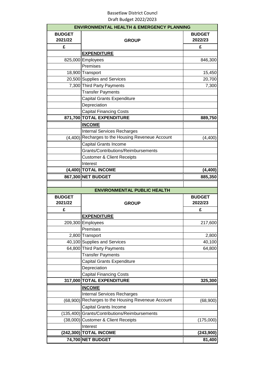|                          | <b>ENVIRONMENTAL HEALTH &amp; EMERGENCY PLANNING</b>        |                          |
|--------------------------|-------------------------------------------------------------|--------------------------|
| <b>BUDGET</b><br>2021/22 | <b>GROUP</b>                                                | <b>BUDGET</b><br>2022/23 |
| £                        |                                                             | £                        |
|                          | <b>EXPENDITURE</b>                                          |                          |
|                          | 825,000 Employees                                           | 846,300                  |
|                          | Premises                                                    |                          |
|                          | 18,900 Transport                                            | 15,450                   |
|                          | 20,500 Supplies and Services                                | 20,700                   |
|                          | 7,300 Third Party Payments                                  | 7,300                    |
|                          | <b>Transfer Payments</b>                                    |                          |
|                          | Capital Grants Expenditure                                  |                          |
|                          | Depreciation                                                |                          |
|                          | <b>Capital Financing Costs</b>                              |                          |
|                          | 871,700 TOTAL EXPENDITURE                                   | 889,750                  |
|                          | <b>INCOME</b>                                               |                          |
|                          | <b>Internal Services Recharges</b>                          |                          |
| (4,400)                  | Recharges to the Housing Reveneue Account                   | (4,400)                  |
|                          | Capital Grants Income                                       |                          |
|                          | Grants/Contributions/Reimbursements                         |                          |
|                          | <b>Customer &amp; Client Receipts</b>                       |                          |
|                          | Interest                                                    |                          |
|                          | (4,400) TOTAL INCOME                                        | (4, 400)                 |
|                          | 867,300 NET BUDGET                                          | 885,350                  |
|                          |                                                             |                          |
|                          | <b>ENVIRONMENTAL PUBLIC HEALTH</b>                          |                          |
| <b>BUDGET</b><br>2021/22 |                                                             | <b>BUDGET</b><br>2022/23 |
| £                        | <b>GROUP</b>                                                | £                        |
|                          | <b>EXPENDITURE</b>                                          |                          |
|                          | 209,300 Employees                                           | 217,600                  |
|                          |                                                             |                          |
|                          | Premises                                                    |                          |
|                          | 2,800 Transport                                             | 2,800                    |
|                          | 40,100 Supplies and Services<br>64,800 Third Party Payments | 40,100                   |
|                          | <b>Transfer Payments</b>                                    | 64,800                   |
|                          | Capital Grants Expenditure                                  |                          |
|                          |                                                             |                          |
|                          |                                                             |                          |
|                          | Depreciation                                                |                          |
|                          | <b>Capital Financing Costs</b>                              |                          |
|                          | 317,000 TOTAL EXPENDITURE                                   | 325,300                  |
|                          | <b>INCOME</b>                                               |                          |
|                          | <b>Internal Services Recharges</b>                          |                          |
| (68,900)                 | Recharges to the Housing Reveneue Account                   | (68,900)                 |
|                          | <b>Capital Grants Income</b>                                |                          |
|                          | (135,400) Grants/Contributions/Reimbursements               |                          |
|                          | (38,000) Customer & Client Receipts                         | (175,000)                |
|                          | Interest                                                    |                          |
|                          | (242,300) TOTAL INCOME<br>74,700 NET BUDGET                 | (243,900)<br>81,400      |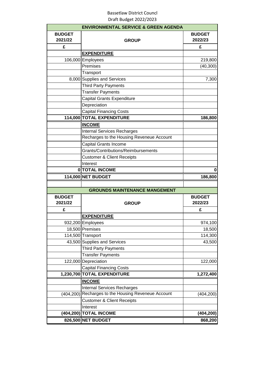|                          | <b>ENVIRONMENTAL SERVICE &amp; GREEN AGENDA</b> |                          |
|--------------------------|-------------------------------------------------|--------------------------|
| <b>BUDGET</b><br>2021/22 | <b>GROUP</b>                                    | <b>BUDGET</b><br>2022/23 |
| £                        |                                                 | £                        |
|                          | <b>EXPENDITURE</b>                              |                          |
|                          | 106,000 Employees                               | 219,800                  |
|                          | Premises                                        | (40, 300)                |
|                          | Transport                                       |                          |
|                          | 8,000 Supplies and Services                     | 7,300                    |
|                          | <b>Third Party Payments</b>                     |                          |
|                          | <b>Transfer Payments</b>                        |                          |
|                          | Capital Grants Expenditure                      |                          |
|                          | Depreciation                                    |                          |
|                          | <b>Capital Financing Costs</b>                  |                          |
|                          | 114,000 TOTAL EXPENDITURE                       | 186,800                  |
|                          | <b>INCOME</b>                                   |                          |
|                          | <b>Internal Services Recharges</b>              |                          |
|                          | Recharges to the Housing Reveneue Account       |                          |
|                          | Capital Grants Income                           |                          |
|                          | Grants/Contributions/Reimbursements             |                          |
|                          | <b>Customer &amp; Client Receipts</b>           |                          |
|                          | Interest                                        |                          |
|                          | 0 TOTAL INCOME                                  | 0                        |
|                          | 114,000 NET BUDGET                              | 186,800                  |
|                          |                                                 |                          |
|                          | <b>GROUNDS MAINTENANCE MANGEMENT</b>            |                          |
| <b>BUDGET</b><br>2021/22 | <b>GROUP</b>                                    | <b>BUDGET</b><br>2022/23 |
| £                        |                                                 | £                        |
|                          | <b>EXPENDITURE</b>                              |                          |
|                          | 932,200 Employees                               | 974,100                  |
|                          | 18,500 Premises                                 | 18,500                   |
|                          | 114,500 Transport                               | 114,300                  |
|                          | 43,500 Supplies and Services                    | 43,500                   |
|                          | <b>Third Party Payments</b>                     |                          |
|                          | <b>Transfer Payments</b>                        |                          |
|                          | 122,000 Depreciation                            | 122,000                  |
|                          | <b>Capital Financing Costs</b>                  |                          |
|                          | 1,230,700 TOTAL EXPENDITURE                     | 1,272,400                |
|                          | <b>INCOME</b>                                   |                          |
|                          | <b>Internal Services Recharges</b>              |                          |
| (404, 200)               | Recharges to the Housing Reveneue Account       | (404, 200)               |
|                          | <b>Customer &amp; Client Receipts</b>           |                          |
|                          | Interest                                        |                          |
|                          | (404,200) TOTAL INCOME                          | (404, 200)               |
|                          | 826,500 NET BUDGET                              | 868,200                  |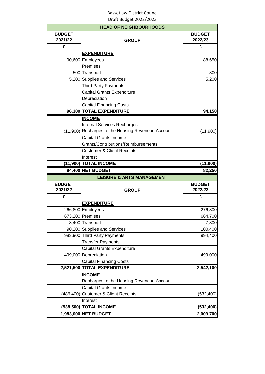|               | <b>HEAD OF NEIGHBOURHOODS</b>                      |                                        |
|---------------|----------------------------------------------------|----------------------------------------|
| <b>BUDGET</b> |                                                    | <b>BUDGET</b>                          |
| 2021/22       | <b>GROUP</b>                                       | 2022/23                                |
| £             |                                                    | £                                      |
|               | <b>EXPENDITURE</b>                                 |                                        |
|               | 90,600 Employees                                   | 88,650                                 |
|               | Premises                                           |                                        |
|               | 500 Transport                                      | 300                                    |
|               | 5,200 Supplies and Services                        | 5,200                                  |
|               | <b>Third Party Payments</b>                        |                                        |
|               | Capital Grants Expenditure                         |                                        |
|               | Depreciation                                       |                                        |
|               | <b>Capital Financing Costs</b>                     |                                        |
|               | 96,300 TOTAL EXPENDITURE                           | 94,150                                 |
|               | <b>INCOME</b>                                      |                                        |
|               | <b>Internal Services Recharges</b>                 |                                        |
|               | (11,900) Recharges to the Housing Reveneue Account | (11,900)                               |
|               | <b>Capital Grants Income</b>                       |                                        |
|               | Grants/Contributions/Reimbursements                |                                        |
|               | <b>Customer &amp; Client Receipts</b>              |                                        |
|               | Interest                                           |                                        |
|               | (11,900) TOTAL INCOME                              | (11,900)                               |
|               |                                                    | 82,250                                 |
|               | 84,400 NET BUDGET                                  |                                        |
|               | <b>LEISURE &amp; ARTS MANAGEMENT</b>               |                                        |
| <b>BUDGET</b> |                                                    | <b>BUDGET</b>                          |
| 2021/22       | <b>GROUP</b>                                       | 2022/23                                |
| £             |                                                    | £                                      |
|               | <b>EXPENDITURE</b>                                 |                                        |
|               | 266,800 Employees                                  | 276,300                                |
|               | 673,200 Premises                                   |                                        |
|               | 8,400 Transport                                    |                                        |
|               | 90,200 Supplies and Services                       |                                        |
|               | 983,900 Third Party Payments                       | 664,700<br>7,300<br>100,400<br>994,400 |
|               | <b>Transfer Payments</b>                           |                                        |
|               | <b>Capital Grants Expenditure</b>                  |                                        |
|               | 499,000 Depreciation                               | 499,000                                |
|               | <b>Capital Financing Costs</b>                     |                                        |
|               | 2,521,500 TOTAL EXPENDITURE                        | 2,542,100                              |
|               | <b>INCOME</b>                                      |                                        |
|               | Recharges to the Housing Reveneue Account          |                                        |
|               | Capital Grants Income                              |                                        |
|               | (486,400) Customer & Client Receipts               | (532, 400)                             |
|               | Interest                                           |                                        |
|               | (538,500) TOTAL INCOME                             | (532, 400)                             |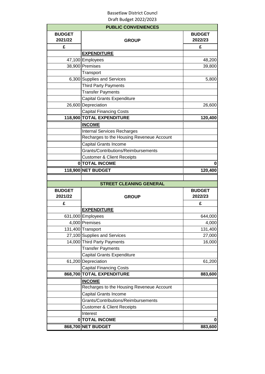|                          | <b>PUBLIC CONVENIENCES</b>                |                          |
|--------------------------|-------------------------------------------|--------------------------|
| <b>BUDGET</b><br>2021/22 | <b>GROUP</b>                              | <b>BUDGET</b><br>2022/23 |
| £                        |                                           | £                        |
|                          | <b>EXPENDITURE</b>                        |                          |
|                          | 47,100 Employees                          | 48,200                   |
|                          | 38,900 Premises                           | 39,800                   |
|                          | Transport                                 |                          |
|                          | 6,300 Supplies and Services               | 5,800                    |
|                          | <b>Third Party Payments</b>               |                          |
|                          | <b>Transfer Payments</b>                  |                          |
|                          | <b>Capital Grants Expenditure</b>         |                          |
|                          | 26,600 Depreciation                       | 26,600                   |
|                          | <b>Capital Financing Costs</b>            |                          |
|                          | 118,900 TOTAL EXPENDITURE                 | 120,400                  |
|                          | <b>INCOME</b>                             |                          |
|                          | <b>Internal Services Recharges</b>        |                          |
|                          | Recharges to the Housing Reveneue Account |                          |
|                          | Capital Grants Income                     |                          |
|                          | Grants/Contributions/Reimbursements       |                          |
|                          | <b>Customer &amp; Client Receipts</b>     |                          |
|                          | 0 TOTAL INCOME                            | 0                        |
|                          | 118,900 NET BUDGET                        | 120,400                  |
|                          |                                           |                          |
|                          |                                           |                          |
|                          | <b>STREET CLEANING GENERAL</b>            |                          |
| <b>BUDGET</b>            |                                           | <b>BUDGET</b>            |
| 2021/22                  | <b>GROUP</b>                              | 2022/23                  |
| £                        |                                           | £                        |
|                          | <b>EXPENDITURE</b>                        |                          |
|                          | 631,000 Employees                         | 644,000                  |
|                          | 4,000 Premises                            |                          |
|                          | 131,400 Transport                         | 4,000<br>131,400         |
|                          | 27,100 Supplies and Services              | 27,000                   |
|                          | 14,000 Third Party Payments               | 16,000                   |
|                          | <b>Transfer Payments</b>                  |                          |
|                          | <b>Capital Grants Expenditure</b>         |                          |
|                          | 61,200 Depreciation                       | 61,200                   |
|                          | <b>Capital Financing Costs</b>            |                          |
|                          | 868,700 TOTAL EXPENDITURE                 | 883,600                  |
|                          | <b>INCOME</b>                             |                          |
|                          | Recharges to the Housing Reveneue Account |                          |
|                          | Capital Grants Income                     |                          |
|                          | Grants/Contributions/Reimbursements       |                          |
|                          | <b>Customer &amp; Client Receipts</b>     |                          |
|                          | Interest                                  |                          |
|                          | 0 TOTAL INCOME                            | $\mathbf{0}$             |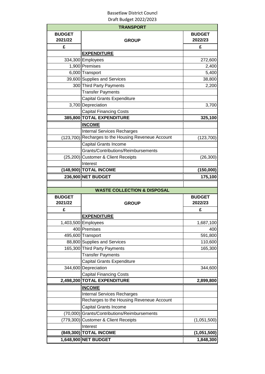|                          | <b>TRANSPORT</b>                                                                |                          |
|--------------------------|---------------------------------------------------------------------------------|--------------------------|
| <b>BUDGET</b><br>2021/22 | <b>GROUP</b>                                                                    | <b>BUDGET</b><br>2022/23 |
| £                        |                                                                                 | £                        |
|                          | <b>EXPENDITURE</b>                                                              |                          |
|                          | 334,300 Employees                                                               | 272,600                  |
|                          | 1,900 Premises                                                                  | 2,400                    |
|                          | 6,000 Transport                                                                 | 5,400                    |
|                          | 39,600 Supplies and Services                                                    | 38,800                   |
|                          | 300 Third Party Payments                                                        | 2,200                    |
|                          | <b>Transfer Payments</b>                                                        |                          |
|                          | <b>Capital Grants Expenditure</b>                                               |                          |
|                          | 3,700 Depreciation                                                              | 3,700                    |
|                          | <b>Capital Financing Costs</b>                                                  |                          |
|                          | 385,800 TOTAL EXPENDITURE                                                       | 325,100                  |
|                          | <b>INCOME</b>                                                                   |                          |
|                          | <b>Internal Services Recharges</b>                                              |                          |
| (123, 700)               | Recharges to the Housing Reveneue Account                                       | (123,700)                |
|                          | <b>Capital Grants Income</b>                                                    |                          |
|                          | Grants/Contributions/Reimbursements                                             |                          |
|                          | (25,200) Customer & Client Receipts                                             | (26, 300)                |
|                          | Interest                                                                        |                          |
|                          | (148,900) TOTAL INCOME                                                          | (150,000)                |
|                          | 236,900 NET BUDGET                                                              | 175,100                  |
|                          |                                                                                 |                          |
|                          | <b>WASTE COLLECTION &amp; DISPOSAL</b>                                          |                          |
| <b>BUDGET</b>            |                                                                                 | <b>BUDGET</b>            |
| 2021/22                  | <b>GROUP</b>                                                                    | 2022/23                  |
| £                        |                                                                                 |                          |
|                          |                                                                                 |                          |
|                          |                                                                                 | £                        |
|                          | <b>EXPENDITURE</b>                                                              |                          |
|                          | 1,403,500 Employees                                                             | 1,687,100                |
|                          | 400 Premises                                                                    | 400                      |
|                          | 495,600 Transport                                                               | 591,800                  |
|                          | 88,800 Supplies and Services                                                    | 110,600                  |
|                          | 165,300 Third Party Payments                                                    | 165,300                  |
|                          | <b>Transfer Payments</b><br><b>Capital Grants Expenditure</b>                   |                          |
|                          |                                                                                 |                          |
|                          | 344,600 Depreciation                                                            | 344,600                  |
|                          | <b>Capital Financing Costs</b><br>2,498,200 TOTAL EXPENDITURE                   |                          |
|                          |                                                                                 | 2,899,800                |
|                          | <b>INCOME</b>                                                                   |                          |
|                          | <b>Internal Services Recharges</b><br>Recharges to the Housing Reveneue Account |                          |
|                          |                                                                                 |                          |
|                          | Capital Grants Income                                                           |                          |
| (70,000)                 | Grants/Contributions/Reimbursements                                             |                          |
| (779, 300)               | <b>Customer &amp; Client Receipts</b>                                           | (1,051,500)              |
|                          | Interest                                                                        |                          |
|                          | (849,300) TOTAL INCOME<br>1,648,900 NET BUDGET                                  | (1,051,500)<br>1,848,300 |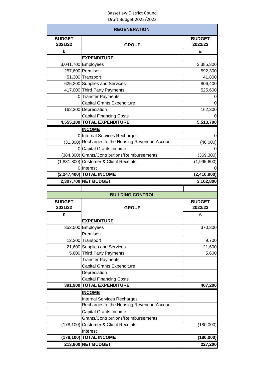|                          | <b>REGENERATION</b>                                |                          |
|--------------------------|----------------------------------------------------|--------------------------|
| <b>BUDGET</b><br>2021/22 | <b>GROUP</b>                                       | <b>BUDGET</b><br>2022/23 |
| £                        |                                                    | £                        |
|                          | <b>EXPENDITURE</b>                                 |                          |
|                          | 3,041,700 Employees                                | 3,385,300                |
|                          | 257,600 Premises                                   | 592,300                  |
|                          | 51,300 Transport                                   | 41,800                   |
|                          | 625,200 Supplies and Services                      | 806,400                  |
|                          | 417,000 Third Party Payments                       | 525,600                  |
|                          | 0 Transfer Payments                                | 0                        |
|                          | <b>Capital Grants Expenditure</b>                  | 0                        |
|                          | 162,300 Depreciation                               | 162,300                  |
|                          | <b>Capital Financing Costs</b>                     |                          |
|                          | 4,555,100 TOTAL EXPENDITURE                        | 5,513,700                |
|                          | <b>INCOME</b>                                      |                          |
|                          | 0 Internal Services Recharges                      | 0                        |
|                          | (31,300) Recharges to the Housing Reveneue Account | (46,000)                 |
|                          | 0 Capital Grants Income                            |                          |
|                          | (384,300) Grants/Contributions/Reimbursements      | (369, 300)               |
|                          | (1,831,800) Customer & Client Receipts             | (1,995,600)              |
|                          | 0 Interest                                         |                          |
|                          | (2,247,400) TOTAL INCOME                           | (2,410,900)              |
|                          | 2,307,700 NET BUDGET                               | 3,102,800                |
|                          | <b>BUILDING CONTROL</b>                            |                          |
|                          |                                                    |                          |
|                          |                                                    |                          |
| <b>BUDGET</b><br>2021/22 | <b>GROUP</b>                                       | <b>BUDGET</b><br>2022/23 |
| £                        |                                                    | £                        |
|                          | <b>EXPENDITURE</b>                                 |                          |
|                          | 352,500 Employees                                  | 370,300                  |
|                          | Premises                                           |                          |
|                          | 12,200 Transport                                   |                          |
|                          | 21,600 Supplies and Services                       | 9,700<br>21,600          |
|                          | 5,600 Third Party Payments                         | 5,600                    |
|                          | <b>Transfer Payments</b>                           |                          |
|                          | Capital Grants Expenditure                         |                          |
|                          | Depreciation                                       |                          |
|                          | <b>Capital Financing Costs</b>                     |                          |
|                          | 391,900 TOTAL EXPENDITURE                          | 407,200                  |
|                          | <b>INCOME</b>                                      |                          |
|                          | <b>Internal Services Recharges</b>                 |                          |
|                          | Recharges to the Housing Reveneue Account          |                          |
|                          | Capital Grants Income                              |                          |
|                          | Grants/Contributions/Reimbursements                |                          |
| (178, 100)               | <b>Customer &amp; Client Receipts</b>              | (180,000)                |
|                          | Interest                                           |                          |
|                          | (178,100) TOTAL INCOME<br>213,800 NET BUDGET       | (180,000)<br>227,200     |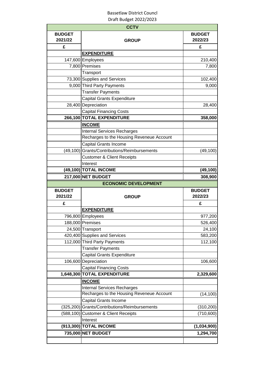|                          | <b>CCTV</b>                                                   |                          |
|--------------------------|---------------------------------------------------------------|--------------------------|
| <b>BUDGET</b><br>2021/22 | <b>GROUP</b>                                                  | <b>BUDGET</b><br>2022/23 |
| £                        |                                                               | £                        |
|                          | <b>EXPENDITURE</b>                                            |                          |
|                          | 147,600 Employees                                             | 210,400                  |
|                          | 7,800 Premises                                                | 7,800                    |
|                          | Transport                                                     |                          |
|                          | 73,300 Supplies and Services                                  | 102,400                  |
|                          | 9,000 Third Party Payments                                    | 9,000                    |
|                          | <b>Transfer Payments</b>                                      |                          |
|                          | <b>Capital Grants Expenditure</b>                             |                          |
|                          | 28,400 Depreciation                                           | 28,400                   |
|                          | <b>Capital Financing Costs</b>                                |                          |
|                          | 266,100 TOTAL EXPENDITURE                                     | 358,000                  |
|                          | <b>INCOME</b>                                                 |                          |
|                          | <b>Internal Services Recharges</b>                            |                          |
|                          | Recharges to the Housing Reveneue Account                     |                          |
|                          | Capital Grants Income                                         |                          |
|                          | (49,100) Grants/Contributions/Reimbursements                  | (49, 100)                |
|                          | <b>Customer &amp; Client Receipts</b>                         |                          |
|                          | Interest                                                      |                          |
|                          | (49,100) TOTAL INCOME                                         | (49, 100)                |
|                          | 217,000 NET BUDGET                                            | 308,900                  |
|                          | <b>ECONOMIC DEVELOPMENT</b>                                   |                          |
|                          |                                                               |                          |
| <b>BUDGET</b><br>2021/22 | <b>GROUP</b>                                                  | <b>BUDGET</b><br>2022/23 |
| £                        |                                                               | £                        |
|                          | <b>EXPENDITURE</b>                                            |                          |
|                          | 796,800 Employees                                             | 977,200                  |
|                          |                                                               |                          |
|                          | 188,000 Premises<br>24,500 Transport                          | 24,100                   |
|                          |                                                               |                          |
|                          | 420,400 Supplies and Services<br>112,000 Third Party Payments | 583,200<br>112,100       |
|                          | <b>Transfer Payments</b>                                      |                          |
|                          | Capital Grants Expenditure                                    |                          |
|                          | 106,600 Depreciation                                          | 106,600                  |
|                          | <b>Capital Financing Costs</b>                                |                          |
|                          | 1,648,300 TOTAL EXPENDITURE                                   | 2,329,600                |
|                          | <b>INCOME</b>                                                 |                          |
|                          | <b>Internal Services Recharges</b>                            |                          |
|                          | Recharges to the Housing Reveneue Account                     | (14, 100)                |
|                          | Capital Grants Income                                         |                          |
|                          | Grants/Contributions/Reimbursements                           |                          |
| (325, 200)<br>(588, 100) | <b>Customer &amp; Client Receipts</b>                         | (310, 200)<br>(710, 600) |
|                          | Interest                                                      |                          |
|                          | (913,300) TOTAL INCOME                                        | 526,400<br>(1,034,900)   |
|                          | 735,000 NET BUDGET                                            | 1,294,700                |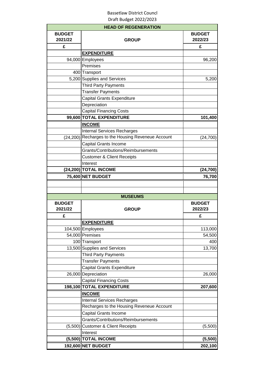|                          | <b>HEAD OF REGENERATION</b>                        |                          |
|--------------------------|----------------------------------------------------|--------------------------|
| <b>BUDGET</b><br>2021/22 | <b>GROUP</b>                                       | <b>BUDGET</b><br>2022/23 |
| £                        |                                                    | £                        |
|                          | <b>EXPENDITURE</b>                                 |                          |
|                          | 94,000 Employees                                   | 96,200                   |
|                          | Premises                                           |                          |
|                          | 400 Transport                                      |                          |
|                          | 5,200 Supplies and Services                        | 5,200                    |
|                          | <b>Third Party Payments</b>                        |                          |
|                          | <b>Transfer Payments</b>                           |                          |
|                          | Capital Grants Expenditure                         |                          |
|                          | Depreciation                                       |                          |
|                          | <b>Capital Financing Costs</b>                     |                          |
|                          | 99,600 TOTAL EXPENDITURE                           | 101,400                  |
|                          | <b>INCOME</b>                                      |                          |
|                          | <b>Internal Services Recharges</b>                 |                          |
|                          | (24,200) Recharges to the Housing Reveneue Account | (24, 700)                |
|                          | Capital Grants Income                              |                          |
|                          | Grants/Contributions/Reimbursements                |                          |
|                          | <b>Customer &amp; Client Receipts</b>              |                          |
|                          | Interest                                           |                          |
|                          | (24,200) TOTAL INCOME                              | (24, 700)                |
|                          | 75,400 NET BUDGET                                  | 76,700                   |
|                          |                                                    |                          |
|                          |                                                    |                          |
|                          | <b>MUSEUMS</b>                                     |                          |
|                          |                                                    |                          |
| <b>BUDGET</b>            |                                                    | <b>BUDGET</b>            |
| 2021/22                  | <b>GROUP</b>                                       | 2022/23                  |
| £                        |                                                    | £                        |
|                          | <b>EXPENDITURE</b>                                 |                          |
|                          |                                                    |                          |
|                          | 104,500 Employees<br>54,000 Premises               | 113,000<br>54,500        |
|                          | 100 Transport                                      | 400                      |
|                          | 13,500 Supplies and Services                       |                          |
|                          | <b>Third Party Payments</b>                        | 13,700                   |
|                          | <b>Transfer Payments</b>                           |                          |
|                          | Capital Grants Expenditure                         |                          |
|                          |                                                    |                          |
|                          | 26,000 Depreciation                                | 26,000                   |
|                          | <b>Capital Financing Costs</b>                     |                          |
|                          | 198,100 TOTAL EXPENDITURE                          | 207,600                  |
|                          | <b>INCOME</b>                                      |                          |
|                          | <b>Internal Services Recharges</b>                 |                          |
|                          | Recharges to the Housing Reveneue Account          |                          |
|                          | Capital Grants Income                              |                          |
|                          | Grants/Contributions/Reimbursements                |                          |
| (5,500)                  | <b>Customer &amp; Client Receipts</b>              | (5,500)                  |
|                          | Interest                                           |                          |
|                          | (5,500) TOTAL INCOME<br>192,600 NET BUDGET         | (5,500)<br>202,100       |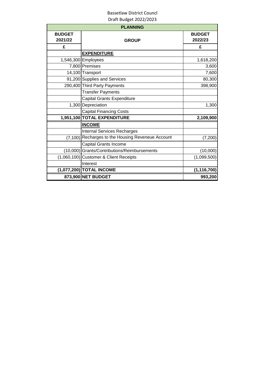| <b>PLANNING</b>          |                                                   |                          |
|--------------------------|---------------------------------------------------|--------------------------|
| <b>BUDGET</b><br>2021/22 | <b>GROUP</b>                                      | <b>BUDGET</b><br>2022/23 |
| £                        |                                                   | £                        |
|                          | <b>EXPENDITURE</b>                                |                          |
|                          | 1,546,300 Employees                               | 1,618,200                |
|                          | 7,800 Premises                                    | 3,600                    |
|                          | 14,100 Transport                                  | 7,600                    |
|                          | 91,200 Supplies and Services                      | 80,300                   |
|                          | 290,400 Third Party Payments                      | 398,900                  |
|                          | <b>Transfer Payments</b>                          |                          |
|                          | <b>Capital Grants Expenditure</b>                 |                          |
|                          | 1,300 Depreciation                                | 1,300                    |
|                          | <b>Capital Financing Costs</b>                    |                          |
|                          | 1,951,100 TOTAL EXPENDITURE                       | 2,109,900                |
|                          | <b>INCOME</b>                                     |                          |
|                          | <b>Internal Services Recharges</b>                |                          |
|                          | (7,100) Recharges to the Housing Reveneue Account | (7, 200)                 |
|                          | Capital Grants Income                             |                          |
|                          | (10,000) Grants/Contributions/Reimbursements      | (10,000)                 |
|                          | (1,060,100) Customer & Client Receipts            | (1,099,500)              |
|                          | Interest                                          |                          |
|                          | (1,077,200) TOTAL INCOME                          | (1, 116, 700)            |
|                          | 873,900 NET BUDGET                                | 993,200                  |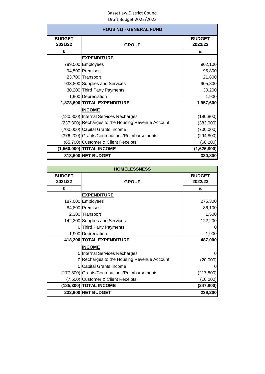| <b>HOUSING - GENERAL FUND</b> |                                                    |                          |
|-------------------------------|----------------------------------------------------|--------------------------|
| <b>BUDGET</b><br>2021/22      | <b>GROUP</b>                                       | <b>BUDGET</b><br>2022/23 |
| £                             |                                                    | £                        |
|                               | <b>EXPENDITURE</b>                                 |                          |
|                               | 789,500 Employees                                  | 902,100                  |
|                               | 94,500 Premises                                    | 95,800                   |
|                               | 23,700 Transport                                   | 21,800                   |
|                               | 933,800 Supplies and Services                      | 905,800                  |
|                               | 30,200 Third Party Payments                        | 30,200                   |
|                               | 1,900 Depreciation                                 | 1,900                    |
|                               | 1,873,600 TOTAL EXPENDITURE                        | 1,957,600                |
|                               | <b>INCOME</b>                                      |                          |
|                               | (180,800) Internal Services Recharges              | (180, 800)               |
|                               | (237,300) Recharges to the Housing Revenue Account | (383,000)                |
|                               | (700,000) Capital Grants Income                    | (700,000)                |
|                               | (376,200) Grants/Contributions/Reimbursements      | (294, 800)               |
|                               | (65,700) Customer & Client Receipts                | (68, 200)                |
|                               | (1,560,000) TOTAL INCOME                           | (1,626,800)              |
|                               | 313,600 NET BUDGET                                 | 330,800                  |

| <b>HOMELESSNESS</b>      |                                               |                          |
|--------------------------|-----------------------------------------------|--------------------------|
| <b>BUDGET</b><br>2021/22 | <b>GROUP</b>                                  | <b>BUDGET</b><br>2022/23 |
| £                        |                                               | £                        |
|                          | <b>EXPENDITURE</b>                            |                          |
|                          | 187,000 Employees                             | 275,300                  |
|                          | 84,800 Premises                               | 86,100                   |
|                          | 2,300 Transport                               | 1,500                    |
|                          | 142,200 Supplies and Services                 | 122,200                  |
|                          | 0 Third Party Payments                        |                          |
|                          | 1,900 Depreciation                            | 1,900                    |
|                          | 418,200 TOTAL EXPENDITURE                     | 487,000                  |
|                          | <b>INCOME</b>                                 |                          |
|                          | 0 Internal Services Recharges                 |                          |
|                          | 0 Recharges to the Housing Revenue Account    | (20,000)                 |
|                          | 0 Capital Grants Income                       |                          |
|                          | (177,800) Grants/Contributions/Reimbursements | (217, 800)               |
|                          | (7,500) Customer & Client Receipts            | (10,000)                 |
|                          | (185,300) TOTAL INCOME                        | (247,800)                |
|                          | 232,900 NET BUDGET                            | 239,200                  |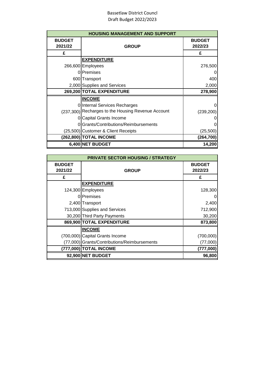| <b>HOUSING MANAGEMENT AND SUPPORT</b> |                                                    |                          |
|---------------------------------------|----------------------------------------------------|--------------------------|
| <b>BUDGET</b><br>2021/22              | <b>GROUP</b>                                       | <b>BUDGET</b><br>2022/23 |
| £                                     |                                                    | £                        |
|                                       | <b>EXPENDITURE</b>                                 |                          |
|                                       | 266,600 Employees                                  | 276,500                  |
|                                       | 0 Premises                                         | 0                        |
|                                       | 600 Transport                                      | 400                      |
|                                       | 2,000 Supplies and Services                        | 2,000                    |
|                                       |                                                    |                          |
|                                       | 269,200 TOTAL EXPENDITURE                          |                          |
|                                       | <b>INCOME</b>                                      |                          |
|                                       | 0 Internal Services Recharges                      | 278,900<br>0             |
|                                       | (237,300) Recharges to the Housing Revenue Account | (239, 200)               |
|                                       | <b>Capital Grants Income</b>                       | 0                        |
| 01                                    | Grants/Contributions/Reimbursements                | 0                        |
|                                       | (25,500) Customer & Client Receipts                | (25, 500)                |
|                                       | (262,800) TOTAL INCOME                             | (264, 700)               |

| <b>PRIVATE SECTOR HOUSING / STRATEGY</b> |                                              |               |
|------------------------------------------|----------------------------------------------|---------------|
| <b>BUDGET</b>                            |                                              | <b>BUDGET</b> |
| 2021/22                                  | <b>GROUP</b>                                 | 2022/23       |
| £                                        |                                              | £             |
|                                          | <b>EXPENDITURE</b>                           |               |
|                                          | 124,300 Employees                            | 128,300       |
|                                          | 0 Premises                                   | 0             |
|                                          | 2,400 Transport                              | 2,400         |
|                                          | 713,000 Supplies and Services                | 712,900       |
|                                          | 30,200 Third Party Payments                  | 30,200        |
|                                          | 869,900 TOTAL EXPENDITURE                    | 873,800       |
|                                          | <b>INCOME</b>                                |               |
|                                          | (700,000) Capital Grants Income              | (700,000)     |
|                                          | (77,000) Grants/Contributions/Reimbursements | (77,000)      |
|                                          | (777,000) TOTAL INCOME                       | (777,000)     |
|                                          | 92,900 NET BUDGET                            | 96,800        |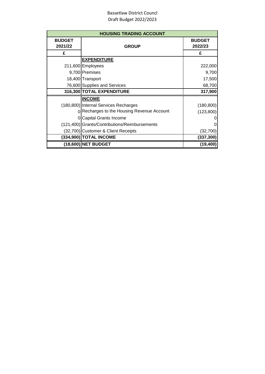| <b>HOUSING TRADING ACCOUNT</b> |                                               |                          |
|--------------------------------|-----------------------------------------------|--------------------------|
| <b>BUDGET</b><br>2021/22       | <b>GROUP</b>                                  | <b>BUDGET</b><br>2022/23 |
| £                              |                                               | £                        |
|                                | <b>EXPENDITURE</b>                            |                          |
|                                | 211,600 Employees                             | 222,000                  |
|                                | 9,700 Premises                                | 9,700                    |
|                                | 18,400 Transport                              | 17,500                   |
|                                | 76,600 Supplies and Services                  | 68,700                   |
|                                | 316,300 TOTAL EXPENDITURE                     | 317,900                  |
|                                | <b>INCOME</b>                                 |                          |
|                                | (180,800) Internal Services Recharges         | (180, 800)               |
|                                | 0 Recharges to the Housing Revenue Account    | (123,800)                |
|                                | 0 Capital Grants Income                       | 0                        |
|                                | (121,400) Grants/Contributions/Reimbursements | 0                        |
|                                | (32,700) Customer & Client Receipts           | (32,700)                 |
|                                | (334,900) TOTAL INCOME                        | (337, 300)               |
|                                | (18,600) NET BUDGET                           | (19, 400)                |